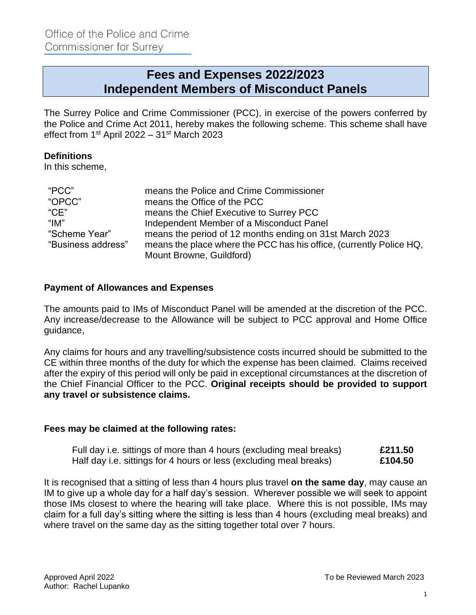# **Fees and Expenses 2022/2023 Independent Members of Misconduct Panels**

The Surrey Police and Crime Commissioner (PCC), in exercise of the powers conferred by the Police and Crime Act 2011, hereby makes the following scheme. This scheme shall have effect from 1<sup>st</sup> April 2022 – 31<sup>st</sup> March 2023

## **Definitions**

In this scheme,

| "PCC"                         | means the Police and Crime Commissioner                             |
|-------------------------------|---------------------------------------------------------------------|
| "OPCC"                        | means the Office of the PCC                                         |
| C <sup>n</sup> C <sub>E</sub> | means the Chief Executive to Surrey PCC                             |
| "IM"                          | Independent Member of a Misconduct Panel                            |
| "Scheme Year"                 | means the period of 12 months ending on 31st March 2023             |
| "Business address"            | means the place where the PCC has his office, (currently Police HQ, |
|                               | Mount Browne, Guildford)                                            |

## **Payment of Allowances and Expenses**

The amounts paid to IMs of Misconduct Panel will be amended at the discretion of the PCC. Any increase/decrease to the Allowance will be subject to PCC approval and Home Office guidance,

Any claims for hours and any travelling/subsistence costs incurred should be submitted to the CE within three months of the duty for which the expense has been claimed. Claims received after the expiry of this period will only be paid in exceptional circumstances at the discretion of the Chief Financial Officer to the PCC. **Original receipts should be provided to support any travel or subsistence claims.**

#### **Fees may be claimed at the following rates:**

| Full day i.e. sittings of more than 4 hours (excluding meal breaks) | £211.50 |
|---------------------------------------------------------------------|---------|
| Half day i.e. sittings for 4 hours or less (excluding meal breaks)  | £104.50 |

It is recognised that a sitting of less than 4 hours plus travel **on the same day**, may cause an IM to give up a whole day for a half day's session. Wherever possible we will seek to appoint those IMs closest to where the hearing will take place. Where this is not possible, IMs may claim for a full day's sitting where the sitting is less than 4 hours (excluding meal breaks) and where travel on the same day as the sitting together total over 7 hours.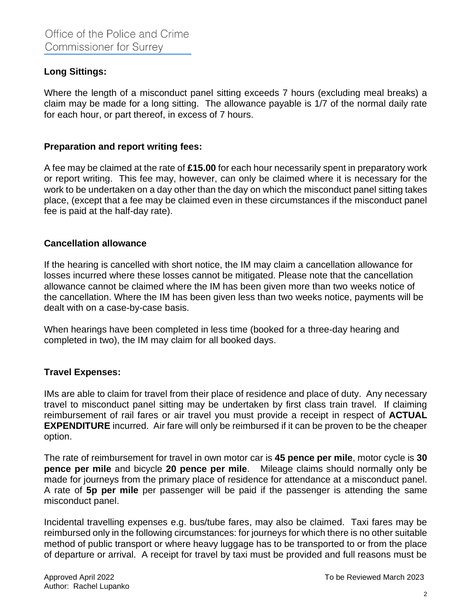# **Long Sittings:**

Where the length of a misconduct panel sitting exceeds 7 hours (excluding meal breaks) a claim may be made for a long sitting. The allowance payable is 1/7 of the normal daily rate for each hour, or part thereof, in excess of 7 hours.

## **Preparation and report writing fees:**

A fee may be claimed at the rate of **£15.00** for each hour necessarily spent in preparatory work or report writing. This fee may, however, can only be claimed where it is necessary for the work to be undertaken on a day other than the day on which the misconduct panel sitting takes place, (except that a fee may be claimed even in these circumstances if the misconduct panel fee is paid at the half-day rate).

## **Cancellation allowance**

If the hearing is cancelled with short notice, the IM may claim a cancellation allowance for losses incurred where these losses cannot be mitigated. Please note that the cancellation allowance cannot be claimed where the IM has been given more than two weeks notice of the cancellation. Where the IM has been given less than two weeks notice, payments will be dealt with on a case-by-case basis.

When hearings have been completed in less time (booked for a three-day hearing and completed in two), the IM may claim for all booked days.

#### **Travel Expenses:**

IMs are able to claim for travel from their place of residence and place of duty. Any necessary travel to misconduct panel sitting may be undertaken by first class train travel. If claiming reimbursement of rail fares or air travel you must provide a receipt in respect of **ACTUAL EXPENDITURE** incurred. Air fare will only be reimbursed if it can be proven to be the cheaper option.

The rate of reimbursement for travel in own motor car is **45 pence per mile**, motor cycle is **30 pence per mile** and bicycle **20 pence per mile**. Mileage claims should normally only be made for journeys from the primary place of residence for attendance at a misconduct panel. A rate of **5p per mile** per passenger will be paid if the passenger is attending the same misconduct panel.

Incidental travelling expenses e.g. bus/tube fares, may also be claimed. Taxi fares may be reimbursed only in the following circumstances: for journeys for which there is no other suitable method of public transport or where heavy luggage has to be transported to or from the place of departure or arrival. A receipt for travel by taxi must be provided and full reasons must be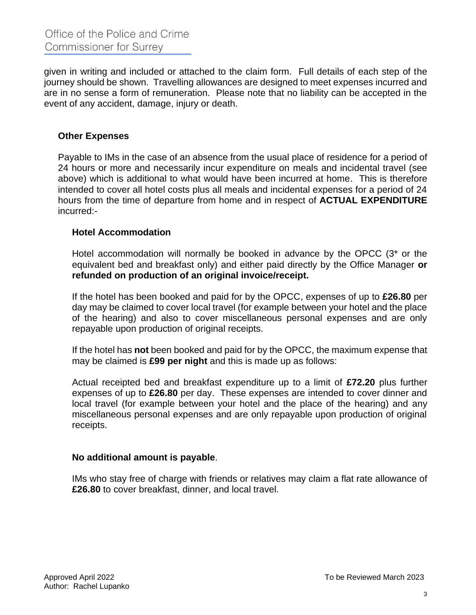given in writing and included or attached to the claim form. Full details of each step of the journey should be shown. Travelling allowances are designed to meet expenses incurred and are in no sense a form of remuneration. Please note that no liability can be accepted in the event of any accident, damage, injury or death.

## **Other Expenses**

Payable to IMs in the case of an absence from the usual place of residence for a period of 24 hours or more and necessarily incur expenditure on meals and incidental travel (see above) which is additional to what would have been incurred at home. This is therefore intended to cover all hotel costs plus all meals and incidental expenses for a period of 24 hours from the time of departure from home and in respect of **ACTUAL EXPENDITURE** incurred:-

#### **Hotel Accommodation**

Hotel accommodation will normally be booked in advance by the OPCC (3\* or the equivalent bed and breakfast only) and either paid directly by the Office Manager **or refunded on production of an original invoice/receipt.** 

If the hotel has been booked and paid for by the OPCC, expenses of up to **£26.80** per day may be claimed to cover local travel (for example between your hotel and the place of the hearing) and also to cover miscellaneous personal expenses and are only repayable upon production of original receipts.

If the hotel has **not** been booked and paid for by the OPCC, the maximum expense that may be claimed is **£99 per night** and this is made up as follows:

Actual receipted bed and breakfast expenditure up to a limit of **£72.20** plus further expenses of up to **£26.80** per day. These expenses are intended to cover dinner and local travel (for example between your hotel and the place of the hearing) and any miscellaneous personal expenses and are only repayable upon production of original receipts.

#### **No additional amount is payable**.

IMs who stay free of charge with friends or relatives may claim a flat rate allowance of **£26.80** to cover breakfast, dinner, and local travel.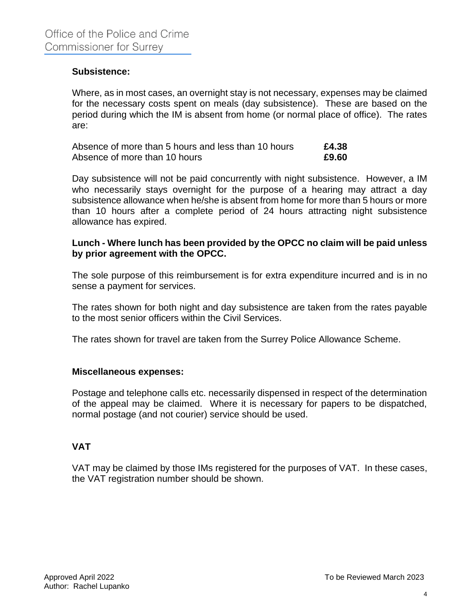### **Subsistence:**

Where, as in most cases, an overnight stay is not necessary, expenses may be claimed for the necessary costs spent on meals (day subsistence). These are based on the period during which the IM is absent from home (or normal place of office). The rates are:

| Absence of more than 5 hours and less than 10 hours | £4.38 |
|-----------------------------------------------------|-------|
| Absence of more than 10 hours                       | £9.60 |

Day subsistence will not be paid concurrently with night subsistence. However, a IM who necessarily stays overnight for the purpose of a hearing may attract a day subsistence allowance when he/she is absent from home for more than 5 hours or more than 10 hours after a complete period of 24 hours attracting night subsistence allowance has expired.

#### **Lunch - Where lunch has been provided by the OPCC no claim will be paid unless by prior agreement with the OPCC.**

The sole purpose of this reimbursement is for extra expenditure incurred and is in no sense a payment for services.

The rates shown for both night and day subsistence are taken from the rates payable to the most senior officers within the Civil Services.

The rates shown for travel are taken from the Surrey Police Allowance Scheme.

#### **Miscellaneous expenses:**

Postage and telephone calls etc. necessarily dispensed in respect of the determination of the appeal may be claimed. Where it is necessary for papers to be dispatched, normal postage (and not courier) service should be used.

# **VAT**

VAT may be claimed by those IMs registered for the purposes of VAT. In these cases, the VAT registration number should be shown.